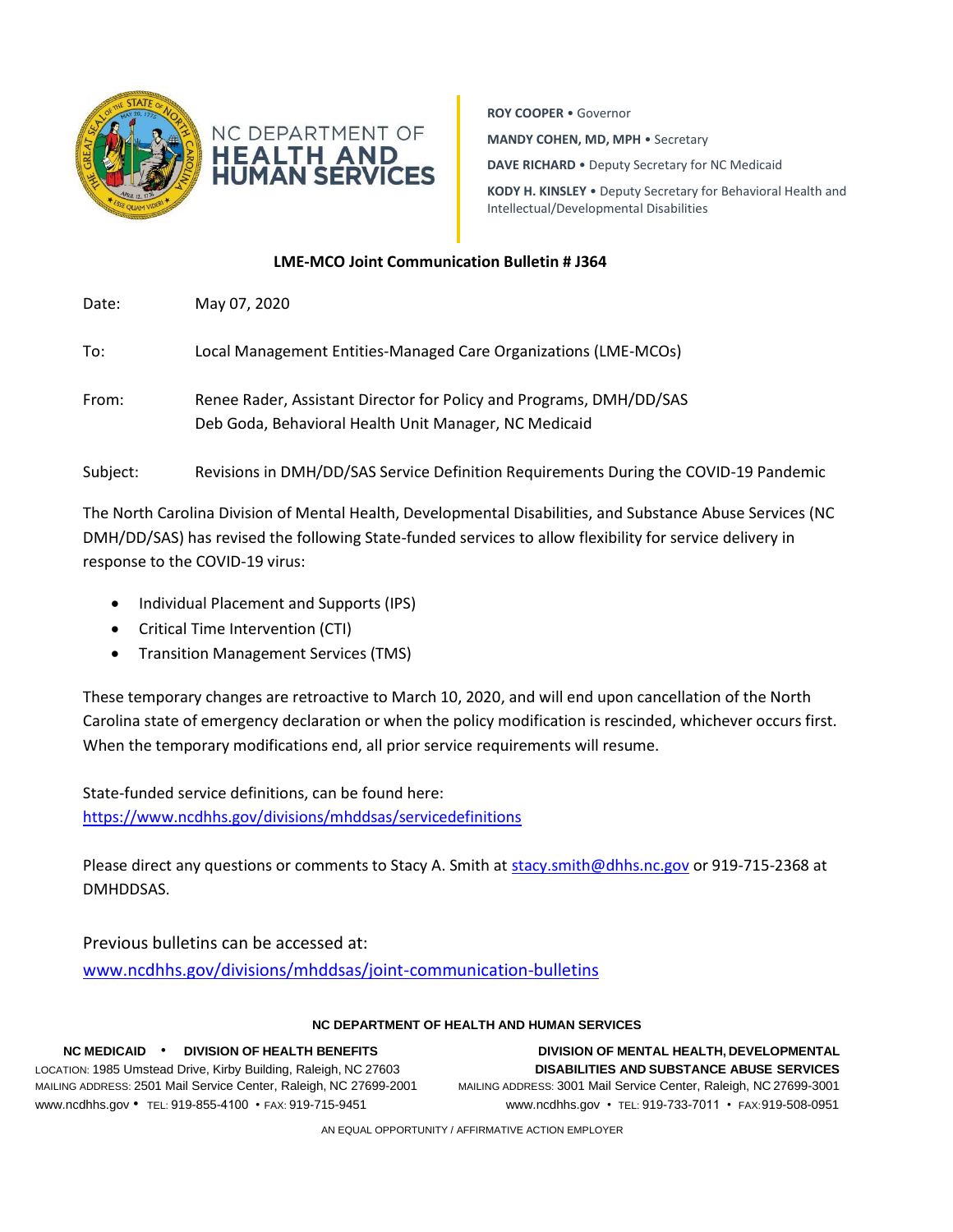



**ROY COOPER** • Governor **MANDY COHEN, MD, MPH** • Secretary **DAVE RICHARD** • Deputy Secretary for NC Medicaid **KODY H. KINSLEY** • Deputy Secretary for Behavioral Health and Intellectual/Developmental Disabilities

## **LME-MCO Joint Communication Bulletin # J364**

Date: May 07, 2020 To: Local Management Entities-Managed Care Organizations (LME-MCOs) From: Renee Rader, Assistant Director for Policy and Programs, DMH/DD/SAS

Deb Goda, Behavioral Health Unit Manager, NC Medicaid

Subject: Revisions in DMH/DD/SAS Service Definition Requirements During the COVID-19 Pandemic

The North Carolina Division of Mental Health, Developmental Disabilities, and Substance Abuse Services (NC DMH/DD/SAS) has revised the following State-funded services to allow flexibility for service delivery in response to the COVID-19 virus:

- Individual Placement and Supports (IPS)
- Critical Time Intervention (CTI)
- Transition Management Services (TMS)

These temporary changes are retroactive to March 10, 2020, and will end upon cancellation of the North Carolina state of emergency declaration or when the policy modification is rescinded, whichever occurs first. When the temporary modifications end, all prior service requirements will resume.

State-funded service definitions, can be found here: <https://www.ncdhhs.gov/divisions/mhddsas/servicedefinitions>

Please direct any questions or comments to Stacy A. Smith a[t stacy.smith@dhhs.nc.gov](mailto:stacy.smith@dhhs.nc.gov) or 919-715-2368 at DMHDDSAS.

Previous bulletins can be accessed at:

[www.ncdhhs.gov/divisions/mhddsas/joint-communication-bulletins](http://www.ncdhhs.gov/divisions/mhddsas/joint-communication-bulletins)

## **NC DEPARTMENT OF HEALTH AND HUMAN SERVICES**

LOCATION: 1985 Umstead Drive, Kirby Building, Raleigh, NC 27603 **DISABILITIES AND SUBSTANCE ABUSE SERVICES** MAILING ADDRESS: 2501 Mail Service Center, Raleigh, NC 27699-2001 MAILING ADDRESS: 3001 Mail Service Center, Raleigh, NC 27699-3001 [www.ncdhhs.gov](http://www.ncdhhs.gov/) • TEL: 919-855-4100 • FAX: 919-715-9451 [www.ncdhhs.gov](http://www.ncdhhs.gov/) • TEL: 919-733-7011 • FAX:919-508-0951

**NC MEDICAID** • **DIVISION OF HEALTH BENEFITS DIVISION OF MENTAL HEALTH, DEVELOPMENTAL**

AN EQUAL OPPORTUNITY / AFFIRMATIVE ACTION EMPLOYER